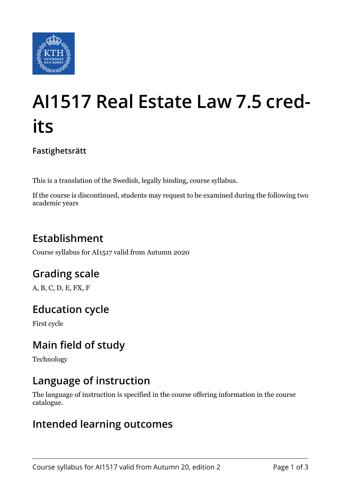

# **AI1517 Real Estate Law 7.5 credits**

**Fastighetsrätt**

This is a translation of the Swedish, legally binding, course syllabus.

If the course is discontinued, students may request to be examined during the following two academic years

# **Establishment**

Course syllabus for AI1517 valid from Autumn 2020

# **Grading scale**

A, B, C, D, E, FX, F

## **Education cycle**

First cycle

## **Main field of study**

Technology

## **Language of instruction**

The language of instruction is specified in the course offering information in the course catalogue.

#### **Intended learning outcomes**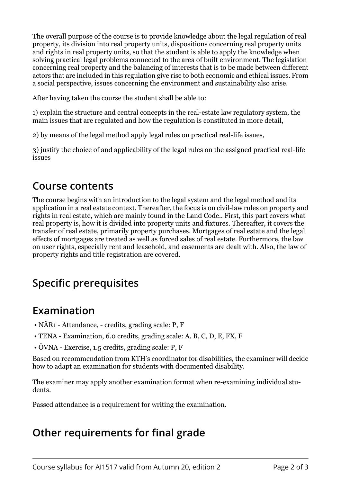The overall purpose of the course is to provide knowledge about the legal regulation of real property, its division into real property units, dispositions concerning real property units and rights in real property units, so that the student is able to apply the knowledge when solving practical legal problems connected to the area of built environment. The legislation concerning real property and the balancing of interests that is to be made between different actors that are included in this regulation give rise to both economic and ethical issues. From a social perspective, issues concerning the environment and sustainability also arise.

After having taken the course the student shall be able to:

1) explain the structure and central concepts in the real-estate law regulatory system, the main issues that are regulated and how the regulation is constituted in more detail,

2) by means of the legal method apply legal rules on practical real-life issues,

3) justify the choice of and applicability of the legal rules on the assigned practical real-life issues

#### **Course contents**

The course begins with an introduction to the legal system and the legal method and its application in a real estate context. Thereafter, the focus is on civil-law rules on property and rights in real estate, which are mainly found in the Land Code.. First, this part covers what real property is, how it is divided into property units and fixtures. Thereafter, it covers the transfer of real estate, primarily property purchases. Mortgages of real estate and the legal effects of mortgages are treated as well as forced sales of real estate. Furthermore, the law on user rights, especially rent and leasehold, and easements are dealt with. Also, the law of property rights and title registration are covered.

## **Specific prerequisites**

## **Examination**

- NÄR1 Attendance, credits, grading scale: P, F
- TENA Examination, 6.0 credits, grading scale: A, B, C, D, E, FX, F
- ÖVNA Exercise, 1.5 credits, grading scale: P, F

Based on recommendation from KTH's coordinator for disabilities, the examiner will decide how to adapt an examination for students with documented disability.

The examiner may apply another examination format when re-examining individual students.

Passed attendance is a requirement for writing the examination.

## **Other requirements for final grade**